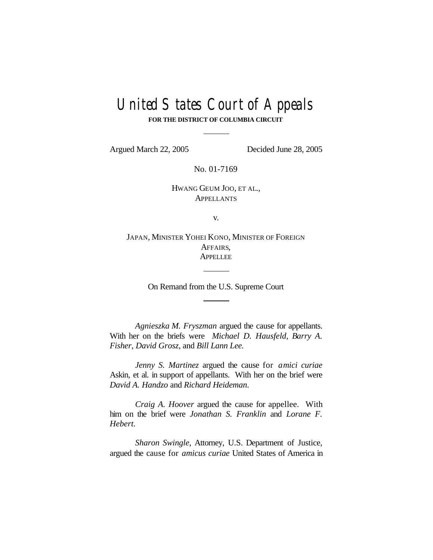# United States Court of Appeals

**FOR THE DISTRICT OF COLUMBIA CIRCUIT**

Argued March 22, 2005 Decided June 28, 2005

No. 01-7169

HWANG GEUM JOO, ET AL., **APPELLANTS** 

v.

JAPAN, MINISTER YOHEI KONO, MINISTER OF FOREIGN AFFAIRS, **APPELLEE** 

On Remand from the U.S. Supreme Court

*Agnieszka M. Fryszman* argued the cause for appellants. With her on the briefs were *Michael D. Hausfeld*, *Barry A. Fisher*, *David Grosz*, and *Bill Lann Lee.*

*Jenny S. Martinez* argued the cause for *amici curiae* Askin, et al. in support of appellants. With her on the brief were *David A. Handzo* and *Richard Heideman*.

*Craig A. Hoover* argued the cause for appellee. With him on the brief were *Jonathan S. Franklin* and *Lorane F. Hebert.*

*Sharon Swingle*, Attorney, U.S. Department of Justice, argued the cause for *amicus curiae* United States of America in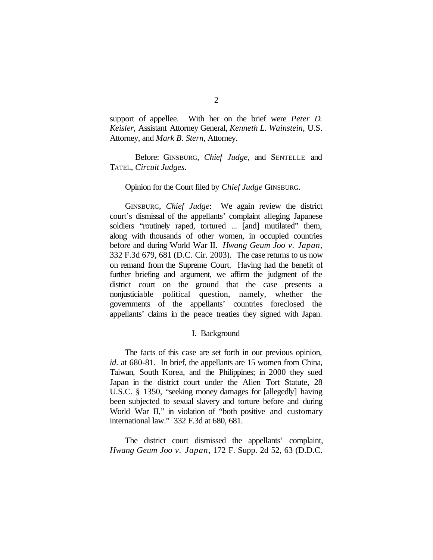support of appellee. With her on the brief were *Peter D. Keisler*, Assistant Attorney General, *Kenneth L. Wainstein*, U.S. Attorney, and *Mark B. Stern*, Attorney.

Before: GINSBURG, *Chief Judge*, and SENTELLE and TATEL, *Circuit Judges*.

#### Opinion for the Court filed by *Chief Judge* GINSBURG.

GINSBURG, *Chief Judge*: We again review the district court's dismissal of the appellants' complaint alleging Japanese soldiers "routinely raped, tortured ... [and] mutilated" them, along with thousands of other women, in occupied countries before and during World War II. *Hwang Geum Joo v. Japan*, 332 F.3d 679, 681 (D.C. Cir. 2003). The case returns to us now on remand from the Supreme Court. Having had the benefit of further briefing and argument, we affirm the judgment of the district court on the ground that the case presents a nonjusticiable political question, namely, whether the governments of the appellants' countries foreclosed the appellants' claims in the peace treaties they signed with Japan.

#### I. Background

The facts of this case are set forth in our previous opinion, *id*. at 680-81. In brief, the appellants are 15 women from China, Taiwan, South Korea, and the Philippines; in 2000 they sued Japan in the district court under the Alien Tort Statute, 28 U.S.C. § 1350, "seeking money damages for [allegedly] having been subjected to sexual slavery and torture before and during World War II," in violation of "both positive and customary international law." 332 F.3d at 680, 681.

The district court dismissed the appellants' complaint, *Hwang Geum Joo v. Japan*, 172 F. Supp. 2d 52, 63 (D.D.C.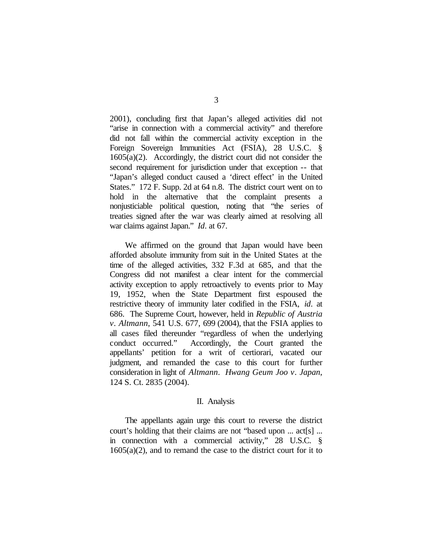2001), concluding first that Japan's alleged activities did not "arise in connection with a commercial activity" and therefore did not fall within the commercial activity exception in the Foreign Sovereign Immunities Act (FSIA), 28 U.S.C. § 1605(a)(2). Accordingly, the district court did not consider the second requirement for jurisdiction under that exception -- that "Japan's alleged conduct caused a 'direct effect' in the United States." 172 F. Supp. 2d at 64 n.8. The district court went on to hold in the alternative that the complaint presents a nonjusticiable political question, noting that "the series of treaties signed after the war was clearly aimed at resolving all war claims against Japan." *Id*. at 67.

We affirmed on the ground that Japan would have been afforded absolute immunity from suit in the United States at the time of the alleged activities, 332 F.3d at 685, and that the Congress did not manifest a clear intent for the commercial activity exception to apply retroactively to events prior to May 19, 1952, when the State Department first espoused the restrictive theory of immunity later codified in the FSIA, *id*. at 686. The Supreme Court, however, held in *Republic of Austria v. Altmann*, 541 U.S. 677, 699 (2004), that the FSIA applies to all cases filed thereunder "regardless of when the underlying conduct occurred." Accordingly, the Court granted the appellants' petition for a writ of certiorari, vacated our judgment, and remanded the case to this court for further consideration in light of *Altmann*. *Hwang Geum Joo v. Japan*, 124 S. Ct. 2835 (2004).

#### II. Analysis

The appellants again urge this court to reverse the district court's holding that their claims are not "based upon ... act[s] ... in connection with a commercial activity," 28 U.S.C. §  $1605(a)(2)$ , and to remand the case to the district court for it to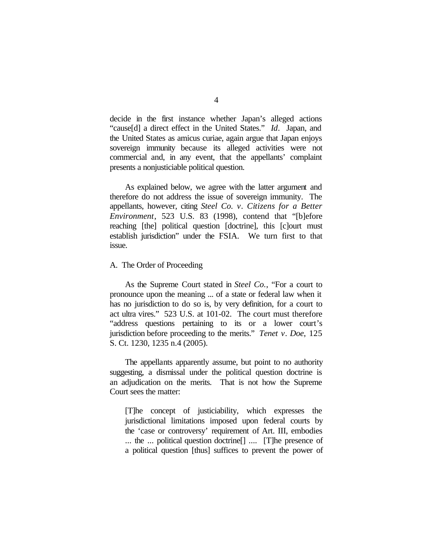decide in the first instance whether Japan's alleged actions "cause[d] a direct effect in the United States." *Id*. Japan, and the United States as amicus curiae, again argue that Japan enjoys sovereign immunity because its alleged activities were not commercial and, in any event, that the appellants' complaint presents a nonjusticiable political question.

As explained below, we agree with the latter argument and therefore do not address the issue of sovereign immunity. The appellants, however, citing *Steel Co. v. Citizens for a Better Environment*, 523 U.S. 83 (1998), contend that "[b]efore reaching [the] political question [doctrine], this [c]ourt must establish jurisdiction" under the FSIA. We turn first to that issue.

### A. The Order of Proceeding

As the Supreme Court stated in *Steel Co.*, "For a court to pronounce upon the meaning ... of a state or federal law when it has no jurisdiction to do so is, by very definition, for a court to act ultra vires." 523 U.S. at 101-02. The court must therefore "address questions pertaining to its or a lower court's jurisdiction before proceeding to the merits." *Tenet v. Doe*, 125 S. Ct. 1230, 1235 n.4 (2005).

The appellants apparently assume, but point to no authority suggesting, a dismissal under the political question doctrine is an adjudication on the merits. That is not how the Supreme Court sees the matter:

[T]he concept of justiciability, which expresses the jurisdictional limitations imposed upon federal courts by the 'case or controversy' requirement of Art. III, embodies ... the ... political question doctrine[] .... [T]he presence of a political question [thus] suffices to prevent the power of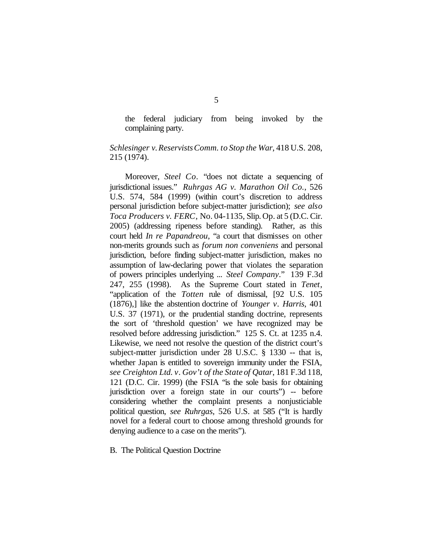the federal judiciary from being invoked by the complaining party.

# *Schlesinger v.ReservistsComm. to Stop the War*, 418 U.S. 208, 215 (1974).

Moreover, *Steel Co.* "does not dictate a sequencing of jurisdictional issues." *Ruhrgas AG v. Marathon Oil Co.*, 526 U.S. 574, 584 (1999) (within court's discretion to address personal jurisdiction before subject-matter jurisdiction); *see also Toca Producers v. FERC*, No. 04-1135, Slip. Op. at 5 (D.C. Cir. 2005) (addressing ripeness before standing). Rather, as this court held *In re Papandreou*, "a court that dismisses on other non-merits grounds such as *forum non conveniens* and personal jurisdiction, before finding subject-matter jurisdiction, makes no assumption of law-declaring power that violates the separation of powers principles underlying ... *Steel Company*." 139 F.3d 247, 255 (1998). As the Supreme Court stated in *Tenet*, "application of the *Totten* rule of dismissal, [92 U.S. 105 (1876),] like the abstention doctrine of *Younger v. Harris*, 401 U.S. 37 (1971), or the prudential standing doctrine, represents the sort of 'threshold question' we have recognized may be resolved before addressing jurisdiction." 125 S. Ct. at 1235 n.4. Likewise, we need not resolve the question of the district court's subject-matter jurisdiction under 28 U.S.C. § 1330 -- that is, whether Japan is entitled to sovereign immunity under the FSIA, *see Creighton Ltd. v. Gov't of the State of Qatar*, 181 F.3d 118, 121 (D.C. Cir. 1999) (the FSIA "is the sole basis for obtaining jurisdiction over a foreign state in our courts") -- before considering whether the complaint presents a nonjusticiable political question, *see Ruhrgas*, 526 U.S. at 585 ("It is hardly novel for a federal court to choose among threshold grounds for denying audience to a case on the merits").

B. The Political Question Doctrine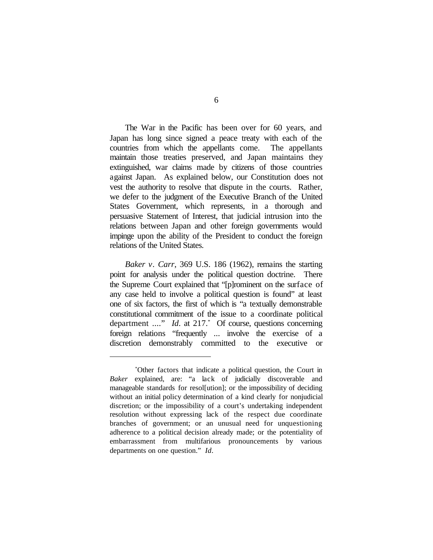The War in the Pacific has been over for 60 years, and Japan has long since signed a peace treaty with each of the countries from which the appellants come. The appellants maintain those treaties preserved, and Japan maintains they extinguished, war claims made by citizens of those countries against Japan. As explained below, our Constitution does not vest the authority to resolve that dispute in the courts. Rather, we defer to the judgment of the Executive Branch of the United States Government, which represents, in a thorough and persuasive Statement of Interest, that judicial intrusion into the relations between Japan and other foreign governments would impinge upon the ability of the President to conduct the foreign relations of the United States.

*Baker v. Carr*, 369 U.S. 186 (1962), remains the starting point for analysis under the political question doctrine. There the Supreme Court explained that "[p]rominent on the surface of any case held to involve a political question is found" at least one of six factors, the first of which is "a textually demonstrable constitutional commitment of the issue to a coordinate political department ...." *Id*. at 217.\* Of course, questions concerning foreign relations "frequently ... involve the exercise of a discretion demonstrably committed to the executive or

<sup>\*</sup>Other factors that indicate a political question, the Court in *Baker* explained, are: "a lack of judicially discoverable and manageable standards for resol[ution]; or the impossibility of deciding without an initial policy determination of a kind clearly for nonjudicial discretion; or the impossibility of a court's undertaking independent resolution without expressing lack of the respect due coordinate branches of government; or an unusual need for unquestioning adherence to a political decision already made; or the potentiality of embarrassment from multifarious pronouncements by various departments on one question." *Id*.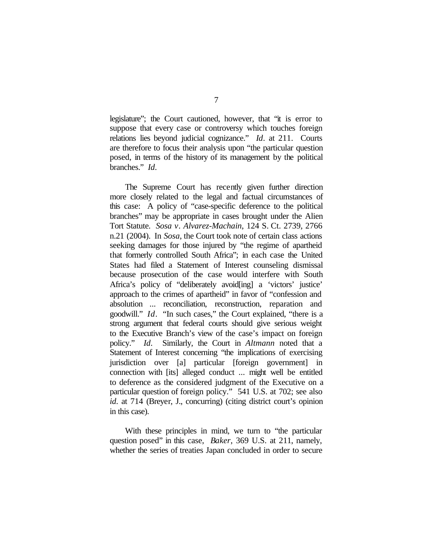legislature"; the Court cautioned, however, that "it is error to suppose that every case or controversy which touches foreign relations lies beyond judicial cognizance." *Id*. at 211. Courts are therefore to focus their analysis upon "the particular question posed, in terms of the history of its management by the political branches." *Id*.

The Supreme Court has recently given further direction more closely related to the legal and factual circumstances of this case: A policy of "case-specific deference to the political branches" may be appropriate in cases brought under the Alien Tort Statute. *Sosa v. Alvarez-Machain*, 124 S. Ct. 2739, 2766 n.21 (2004). In *Sosa*, the Court took note of certain class actions seeking damages for those injured by "the regime of apartheid that formerly controlled South Africa"; in each case the United States had filed a Statement of Interest counseling dismissal because prosecution of the case would interfere with South Africa's policy of "deliberately avoid[ing] a 'victors' justice' approach to the crimes of apartheid" in favor of "confession and absolution ... reconciliation, reconstruction, reparation and goodwill." *Id*. "In such cases," the Court explained, "there is a strong argument that federal courts should give serious weight to the Executive Branch's view of the case's impact on foreign policy." *Id*. Similarly, the Court in *Altmann* noted that a Statement of Interest concerning "the implications of exercising jurisdiction over [a] particular [foreign government] in connection with [its] alleged conduct ... might well be entitled to deference as the considered judgment of the Executive on a particular question of foreign policy." 541 U.S. at 702; see also *id*. at 714 (Breyer, J., concurring) (citing district court's opinion in this case).

With these principles in mind, we turn to "the particular question posed" in this case, *Baker*, 369 U.S. at 211, namely, whether the series of treaties Japan concluded in order to secure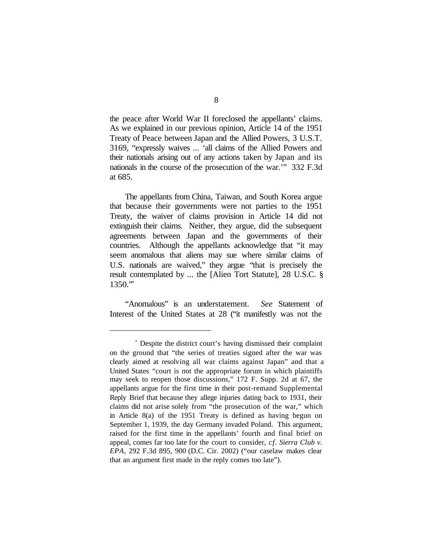the peace after World War II foreclosed the appellants' claims. As we explained in our previous opinion, Article 14 of the 1951 Treaty of Peace between Japan and the Allied Powers, 3 U.S.T. 3169, "expressly waives ... 'all claims of the Allied Powers and their nationals arising out of any actions taken by Japan and its nationals in the course of the prosecution of the war.'" 332 F.3d at 685.

The appellants from China, Taiwan, and South Korea argue that because their governments were not parties to the 1951 Treaty, the waiver of claims provision in Article 14 did not extinguish their claims. Neither, they argue, did the subsequent agreements between Japan and the governments of their countries. Although the appellants acknowledge that "it may seem anomalous that aliens may sue where similar claims of U.S. nationals are waived," they argue "that is precisely the result contemplated by ... the [Alien Tort Statute], 28 U.S.C. §  $1350."$ \*

"Anomalous" is an understatement. *See* Statement of Interest of the United States at 28 ("it manifestly was not the

<sup>\*</sup> Despite the district court's having dismissed their complaint on the ground that "the series of treaties signed after the war was clearly aimed at resolving all war claims against Japan" and that a United States "court is not the appropriate forum in which plaintiffs may seek to reopen those discussions," 172 F. Supp. 2d at 67, the appellants argue for the first time in their post-remand Supplemental Reply Brief that because they allege injuries dating back to 1931, their claims did not arise solely from "the prosecution of the war," which in Article 8(a) of the 1951 Treaty is defined as having begun on September 1, 1939, the day Germany invaded Poland. This argument, raised for the first time in the appellants' fourth and final brief on appeal, comes far too late for the court to consider, *cf. Sierra Club v. EPA*, 292 F.3d 895, 900 (D.C. Cir. 2002) ("our caselaw makes clear that an argument first made in the reply comes too late").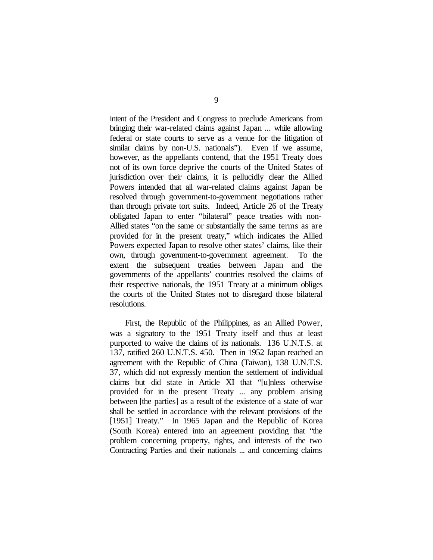intent of the President and Congress to preclude Americans from bringing their war-related claims against Japan ... while allowing federal or state courts to serve as a venue for the litigation of similar claims by non-U.S. nationals"). Even if we assume, however, as the appellants contend, that the 1951 Treaty does not of its own force deprive the courts of the United States of jurisdiction over their claims, it is pellucidly clear the Allied Powers intended that all war-related claims against Japan be resolved through government-to-government negotiations rather than through private tort suits. Indeed, Article 26 of the Treaty obligated Japan to enter "bilateral" peace treaties with non-Allied states "on the same or substantially the same terms as are provided for in the present treaty," which indicates the Allied Powers expected Japan to resolve other states' claims, like their own, through government-to-government agreement. To the extent the subsequent treaties between Japan and the governments of the appellants' countries resolved the claims of their respective nationals, the 1951 Treaty at a minimum obliges the courts of the United States not to disregard those bilateral resolutions.

First, the Republic of the Philippines, as an Allied Power, was a signatory to the 1951 Treaty itself and thus at least purported to waive the claims of its nationals. 136 U.N.T.S. at 137, ratified 260 U.N.T.S. 450. Then in 1952 Japan reached an agreement with the Republic of China (Taiwan), 138 U.N.T.S. 37, which did not expressly mention the settlement of individual claims but did state in Article XI that "[u]nless otherwise provided for in the present Treaty ... any problem arising between [the parties] as a result of the existence of a state of war shall be settled in accordance with the relevant provisions of the [1951] Treaty." In 1965 Japan and the Republic of Korea (South Korea) entered into an agreement providing that "the problem concerning property, rights, and interests of the two Contracting Parties and their nationals ... and concerning claims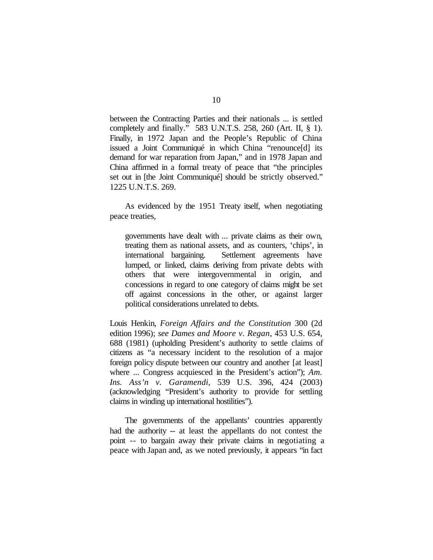between the Contracting Parties and their nationals ... is settled completely and finally." 583 U.N.T.S. 258, 260 (Art. II, § 1). Finally, in 1972 Japan and the People's Republic of China issued a Joint Communiqué in which China "renounce[d] its demand for war reparation from Japan," and in 1978 Japan and China affirmed in a formal treaty of peace that "the principles set out in [the Joint Communiqué] should be strictly observed." 1225 U.N.T.S. 269.

As evidenced by the 1951 Treaty itself, when negotiating peace treaties,

governments have dealt with ... private claims as their own, treating them as national assets, and as counters, 'chips', in international bargaining. Settlement agreements have lumped, or linked, claims deriving from private debts with others that were intergovernmental in origin, and concessions in regard to one category of claims might be set off against concessions in the other, or against larger political considerations unrelated to debts.

Louis Henkin, *Foreign Affairs and the Constitution* 300 (2d edition 1996); *see Dames and Moore v. Regan*, 453 U.S. 654, 688 (1981) (upholding President's authority to settle claims of citizens as "a necessary incident to the resolution of a major foreign policy dispute between our country and another [at least] where ... Congress acquiesced in the President's action"); *Am. Ins. Ass'n v. Garamendi*, 539 U.S. 396, 424 (2003) (acknowledging "President's authority to provide for settling claims in winding up international hostilities").

The governments of the appellants' countries apparently had the authority -- at least the appellants do not contest the point -- to bargain away their private claims in negotiating a peace with Japan and, as we noted previously, it appears "in fact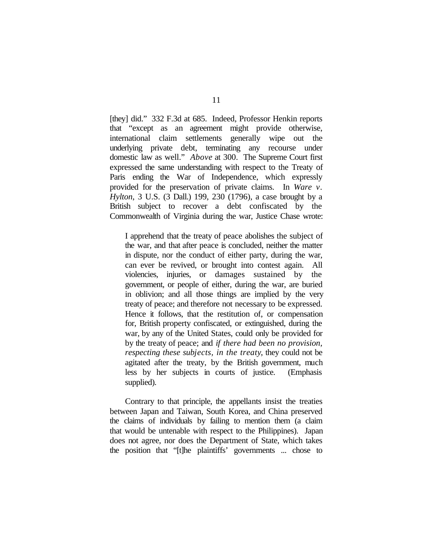[they] did." 332 F.3d at 685. Indeed, Professor Henkin reports that "except as an agreement might provide otherwise, international claim settlements generally wipe out the underlying private debt, terminating any recourse under domestic law as well." *Above* at 300. The Supreme Court first expressed the same understanding with respect to the Treaty of Paris ending the War of Independence, which expressly provided for the preservation of private claims. In *Ware v. Hylton*, 3 U.S. (3 Dall.) 199, 230 (1796), a case brought by a British subject to recover a debt confiscated by the Commonwealth of Virginia during the war, Justice Chase wrote:

I apprehend that the treaty of peace abolishes the subject of the war, and that after peace is concluded, neither the matter in dispute, nor the conduct of either party, during the war, can ever be revived, or brought into contest again. All violencies, injuries, or damages sustained by the government, or people of either, during the war, are buried in oblivion; and all those things are implied by the very treaty of peace; and therefore not necessary to be expressed. Hence it follows, that the restitution of, or compensation for, British property confiscated, or extinguished, during the war, by any of the United States, could only be provided for by the treaty of peace; and *if there had been no provision, respecting these subjects, in the treaty*, they could not be agitated after the treaty, by the British government, much less by her subjects in courts of justice. (Emphasis supplied).

Contrary to that principle, the appellants insist the treaties between Japan and Taiwan, South Korea, and China preserved the claims of individuals by failing to mention them (a claim that would be untenable with respect to the Philippines). Japan does not agree, nor does the Department of State, which takes the position that "[t]he plaintiffs' governments ... chose to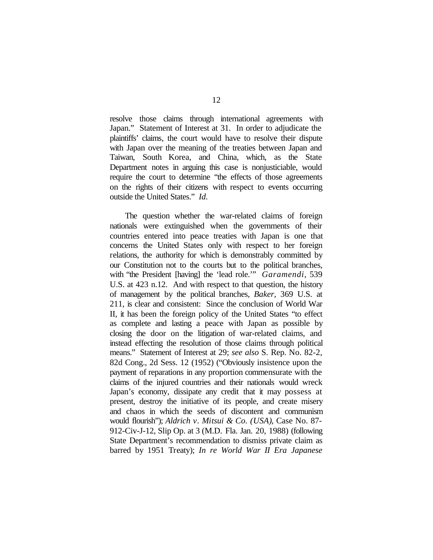resolve those claims through international agreements with Japan." Statement of Interest at 31. In order to adjudicate the plaintiffs' claims, the court would have to resolve their dispute with Japan over the meaning of the treaties between Japan and Taiwan, South Korea, and China, which, as the State Department notes in arguing this case is nonjusticiable, would require the court to determine "the effects of those agreements on the rights of their citizens with respect to events occurring outside the United States." *Id*.

The question whether the war-related claims of foreign nationals were extinguished when the governments of their countries entered into peace treaties with Japan is one that concerns the United States only with respect to her foreign relations, the authority for which is demonstrably committed by our Constitution not to the courts but to the political branches, with "the President [having] the 'lead role.'" *Garamendi*, 539 U.S. at 423 n.12. And with respect to that question, the history of management by the political branches, *Baker*, 369 U.S. at 211, is clear and consistent: Since the conclusion of World War II, it has been the foreign policy of the United States "to effect as complete and lasting a peace with Japan as possible by closing the door on the litigation of war-related claims, and instead effecting the resolution of those claims through political means." Statement of Interest at 29; *see also* S. Rep. No. 82-2, 82d Cong., 2d Sess. 12 (1952) ("Obviously insistence upon the payment of reparations in any proportion commensurate with the claims of the injured countries and their nationals would wreck Japan's economy, dissipate any credit that it may possess at present, destroy the initiative of its people, and create misery and chaos in which the seeds of discontent and communism would flourish"); *Aldrich v. Mitsui & Co. (USA)*, Case No. 87- 912-Civ-J-12, Slip Op. at 3 (M.D. Fla. Jan. 20, 1988) (following State Department's recommendation to dismiss private claim as barred by 1951 Treaty); *In re World War II Era Japanese*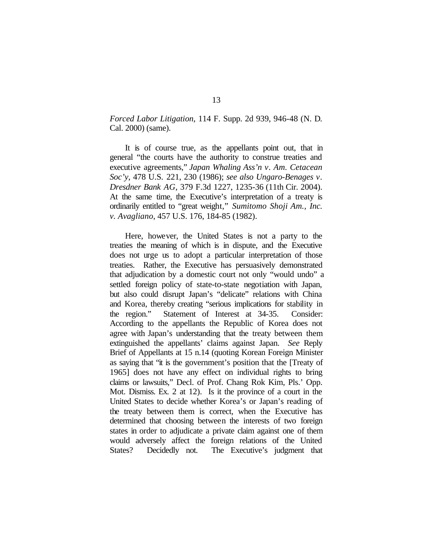*Forced Labor Litigation*, 114 F. Supp. 2d 939, 946-48 (N. D. Cal. 2000) (same).

It is of course true, as the appellants point out, that in general "the courts have the authority to construe treaties and executive agreements," *Japan Whaling Ass'n v. Am. Cetacean Soc'y*, 478 U.S. 221, 230 (1986); *see also Ungaro-Benages v. Dresdner Bank AG*, 379 F.3d 1227, 1235-36 (11th Cir. 2004). At the same time, the Executive's interpretation of a treaty is ordinarily entitled to "great weight," *Sumitomo Shoji Am., Inc. v. Avagliano*, 457 U.S. 176, 184-85 (1982).

Here, however, the United States is not a party to the treaties the meaning of which is in dispute, and the Executive does not urge us to adopt a particular interpretation of those treaties. Rather, the Executive has persuasively demonstrated that adjudication by a domestic court not only "would undo" a settled foreign policy of state-to-state negotiation with Japan, but also could disrupt Japan's "delicate" relations with China and Korea, thereby creating "serious implications for stability in the region." Statement of Interest at 34-35. Consider: According to the appellants the Republic of Korea does not agree with Japan's understanding that the treaty between them extinguished the appellants' claims against Japan. *See* Reply Brief of Appellants at 15 n.14 (quoting Korean Foreign Minister as saying that "it is the government's position that the [Treaty of 1965] does not have any effect on individual rights to bring claims or lawsuits," Decl. of Prof. Chang Rok Kim, Pls.' Opp. Mot. Dismiss. Ex. 2 at 12). Is it the province of a court in the United States to decide whether Korea's or Japan's reading of the treaty between them is correct, when the Executive has determined that choosing between the interests of two foreign states in order to adjudicate a private claim against one of them would adversely affect the foreign relations of the United States? Decidedly not. The Executive's judgment that